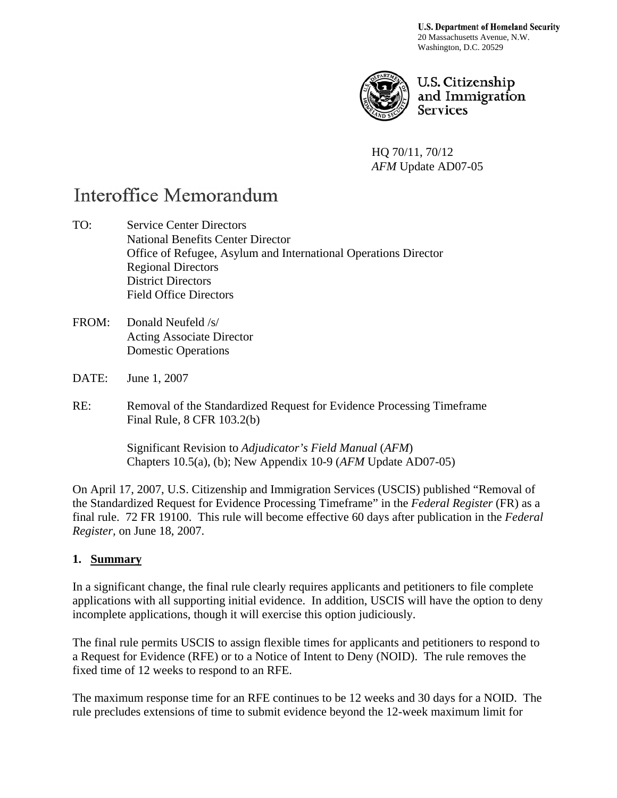**U.S. Department of Homeland Security** 20 Massachusetts Avenue, N.W. Washington, D.C. 20529



U.S. Citizenship and Immigration **Services** 

HQ 70/11, 70/12 *AFM* Update AD07-05

# Interoffice Memorandum

TO: Service Center Directors National Benefits Center Director Office of Refugee, Asylum and International Operations Director Regional Directors District Directors Field Office Directors

- FROM: Donald Neufeld /s/ Acting Associate Director Domestic Operations
- DATE: June 1, 2007

RE: Removal of the Standardized Request for Evidence Processing Timeframe Final Rule, 8 CFR 103.2(b)

> Significant Revision to *Adjudicator's Field Manual* (*AFM*) Chapters 10.5(a), (b); New Appendix 10-9 (*AFM* Update AD07-05)

On April 17, 2007, U.S. Citizenship and Immigration Services (USCIS) published "Removal of the Standardized Request for Evidence Processing Timeframe" in the *Federal Register* (FR) as a final rule. 72 FR 19100. This rule will become effective 60 days after publication in the *Federal Register,* on June 18, 2007.

#### **1. Summary**

In a significant change, the final rule clearly requires applicants and petitioners to file complete applications with all supporting initial evidence. In addition, USCIS will have the option to deny incomplete applications, though it will exercise this option judiciously.

The final rule permits USCIS to assign flexible times for applicants and petitioners to respond to a Request for Evidence (RFE) or to a Notice of Intent to Deny (NOID). The rule removes the fixed time of 12 weeks to respond to an RFE.

The maximum response time for an RFE continues to be 12 weeks and 30 days for a NOID. The rule precludes extensions of time to submit evidence beyond the 12-week maximum limit for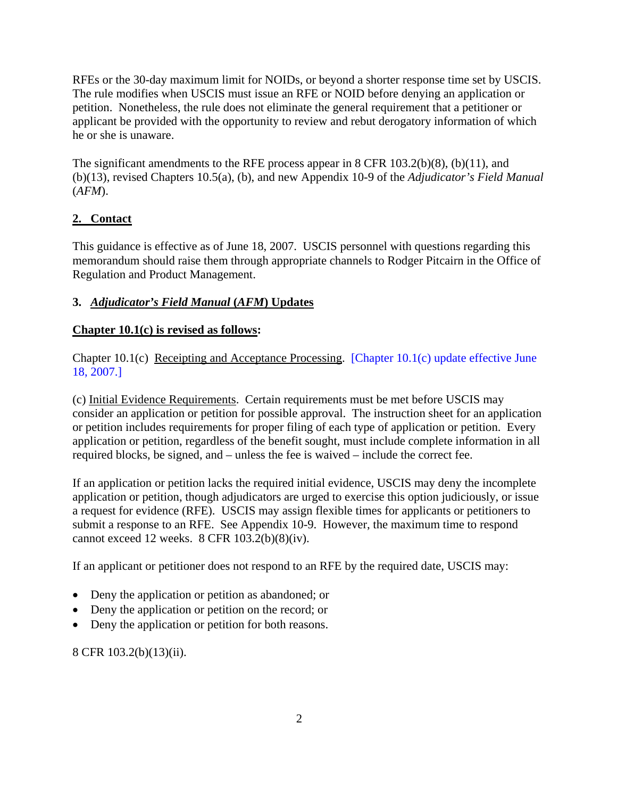RFEs or the 30-day maximum limit for NOIDs, or beyond a shorter response time set by USCIS. The rule modifies when USCIS must issue an RFE or NOID before denying an application or petition. Nonetheless, the rule does not eliminate the general requirement that a petitioner or applicant be provided with the opportunity to review and rebut derogatory information of which he or she is unaware.

The significant amendments to the RFE process appear in 8 CFR 103.2(b)(8), (b)(11), and (b)(13), revised Chapters 10.5(a), (b), and new Appendix 10-9 of the *Adjudicator's Field Manual*  (*AFM*).

## **2. Contact**

This guidance is effective as of June 18, 2007. USCIS personnel with questions regarding this memorandum should raise them through appropriate channels to Rodger Pitcairn in the Office of Regulation and Product Management.

## **3.** *Adjudicator's Field Manual* **(***AFM***) Updates**

#### **Chapter 10.1(c) is revised as follows:**

Chapter 10.1(c) Receipting and Acceptance Processing. [Chapter 10.1(c) update effective June 18, 2007.]

(c) Initial Evidence Requirements. Certain requirements must be met before USCIS may consider an application or petition for possible approval. The instruction sheet for an application or petition includes requirements for proper filing of each type of application or petition. Every application or petition, regardless of the benefit sought, must include complete information in all required blocks, be signed, and – unless the fee is waived – include the correct fee.

If an application or petition lacks the required initial evidence, USCIS may deny the incomplete application or petition, though adjudicators are urged to exercise this option judiciously, or issue a request for evidence (RFE). USCIS may assign flexible times for applicants or petitioners to submit a response to an RFE. See Appendix 10-9. However, the maximum time to respond cannot exceed 12 weeks. 8 CFR 103.2(b)(8)(iv).

If an applicant or petitioner does not respond to an RFE by the required date, USCIS may:

- Deny the application or petition as abandoned; or
- Deny the application or petition on the record; or
- Deny the application or petition for both reasons.

8 CFR 103.2(b)(13)(ii).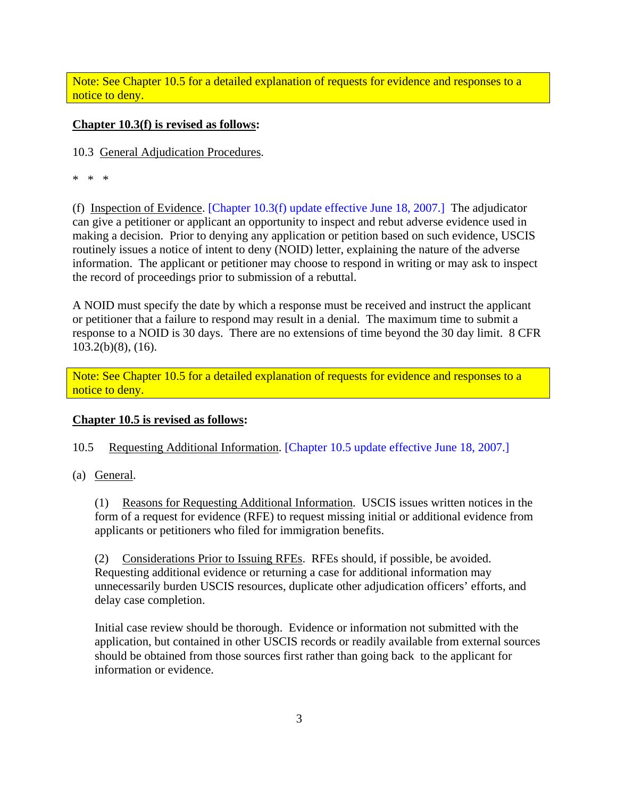Note: See Chapter 10.5 for a detailed explanation of requests for evidence and responses to a notice to deny.

#### **Chapter 10.3(f) is revised as follows:**

10.3 General Adjudication Procedures.

\* \* \*

(f) Inspection of Evidence. [Chapter 10.3(f) update effective June 18, 2007.] The adjudicator can give a petitioner or applicant an opportunity to inspect and rebut adverse evidence used in making a decision. Prior to denying any application or petition based on such evidence, USCIS routinely issues a notice of intent to deny (NOID) letter, explaining the nature of the adverse information. The applicant or petitioner may choose to respond in writing or may ask to inspect the record of proceedings prior to submission of a rebuttal.

A NOID must specify the date by which a response must be received and instruct the applicant or petitioner that a failure to respond may result in a denial. The maximum time to submit a response to a NOID is 30 days. There are no extensions of time beyond the 30 day limit. 8 CFR 103.2(b)(8), (16).

Note: See Chapter 10.5 for a detailed explanation of requests for evidence and responses to a notice to deny.

#### **Chapter 10.5 is revised as follows:**

10.5 Requesting Additional Information. [Chapter 10.5 update effective June 18, 2007.]

(a) General.

(1) Reasons for Requesting Additional Information. USCIS issues written notices in the form of a request for evidence (RFE) to request missing initial or additional evidence from applicants or petitioners who filed for immigration benefits.

(2) Considerations Prior to Issuing RFEs. RFEs should, if possible, be avoided. Requesting additional evidence or returning a case for additional information may unnecessarily burden USCIS resources, duplicate other adjudication officers' efforts, and delay case completion.

Initial case review should be thorough. Evidence or information not submitted with the application, but contained in other USCIS records or readily available from external sources should be obtained from those sources first rather than going back to the applicant for information or evidence.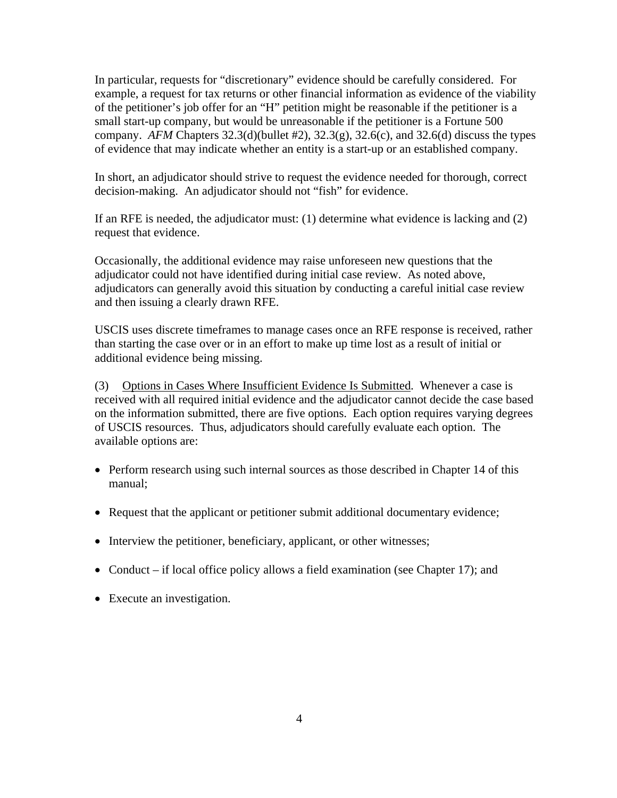In particular, requests for "discretionary" evidence should be carefully considered. For example, a request for tax returns or other financial information as evidence of the viability of the petitioner's job offer for an "H" petition might be reasonable if the petitioner is a small start-up company, but would be unreasonable if the petitioner is a Fortune 500 company. *AFM* Chapters  $32.3(d)$ (bullet  $\#2$ ),  $32.3(g)$ ,  $32.6(c)$ , and  $32.6(d)$  discuss the types of evidence that may indicate whether an entity is a start-up or an established company.

In short, an adjudicator should strive to request the evidence needed for thorough, correct decision-making. An adjudicator should not "fish" for evidence.

If an RFE is needed, the adjudicator must: (1) determine what evidence is lacking and (2) request that evidence.

Occasionally, the additional evidence may raise unforeseen new questions that the adjudicator could not have identified during initial case review. As noted above, adjudicators can generally avoid this situation by conducting a careful initial case review and then issuing a clearly drawn RFE.

USCIS uses discrete timeframes to manage cases once an RFE response is received, rather than starting the case over or in an effort to make up time lost as a result of initial or additional evidence being missing.

(3) Options in Cases Where Insufficient Evidence Is Submitted. Whenever a case is received with all required initial evidence and the adjudicator cannot decide the case based on the information submitted, there are five options. Each option requires varying degrees of USCIS resources. Thus, adjudicators should carefully evaluate each option. The available options are:

- Perform research using such internal sources as those described in Chapter 14 of this manual;
- Request that the applicant or petitioner submit additional documentary evidence;
- Interview the petitioner, beneficiary, applicant, or other witnesses;
- Conduct if local office policy allows a field examination (see Chapter 17); and
- Execute an investigation.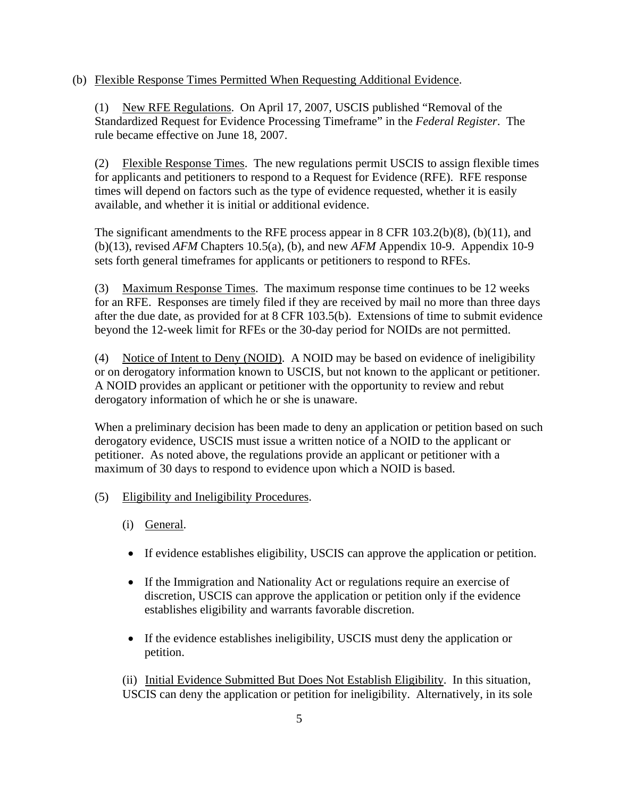(b) Flexible Response Times Permitted When Requesting Additional Evidence.

(1) New RFE Regulations. On April 17, 2007, USCIS published "Removal of the Standardized Request for Evidence Processing Timeframe" in the *Federal Register*. The rule became effective on June 18, 2007.

(2) Flexible Response Times. The new regulations permit USCIS to assign flexible times for applicants and petitioners to respond to a Request for Evidence (RFE). RFE response times will depend on factors such as the type of evidence requested, whether it is easily available, and whether it is initial or additional evidence.

The significant amendments to the RFE process appear in 8 CFR 103.2(b)(8), (b)(11), and (b)(13), revised *AFM* Chapters 10.5(a), (b), and new *AFM* Appendix 10-9. Appendix 10-9 sets forth general timeframes for applicants or petitioners to respond to RFEs.

(3) Maximum Response Times. The maximum response time continues to be 12 weeks for an RFE. Responses are timely filed if they are received by mail no more than three days after the due date, as provided for at 8 CFR 103.5(b). Extensions of time to submit evidence beyond the 12-week limit for RFEs or the 30-day period for NOIDs are not permitted.

(4) Notice of Intent to Deny (NOID). A NOID may be based on evidence of ineligibility or on derogatory information known to USCIS, but not known to the applicant or petitioner. A NOID provides an applicant or petitioner with the opportunity to review and rebut derogatory information of which he or she is unaware.

When a preliminary decision has been made to deny an application or petition based on such derogatory evidence, USCIS must issue a written notice of a NOID to the applicant or petitioner. As noted above, the regulations provide an applicant or petitioner with a maximum of 30 days to respond to evidence upon which a NOID is based.

- (5) Eligibility and Ineligibility Procedures.
	- (i) General.
	- If evidence establishes eligibility, USCIS can approve the application or petition.
	- If the Immigration and Nationality Act or regulations require an exercise of discretion, USCIS can approve the application or petition only if the evidence establishes eligibility and warrants favorable discretion.
	- If the evidence establishes ineligibility, USCIS must deny the application or petition.

 (ii) Initial Evidence Submitted But Does Not Establish Eligibility. In this situation, USCIS can deny the application or petition for ineligibility. Alternatively, in its sole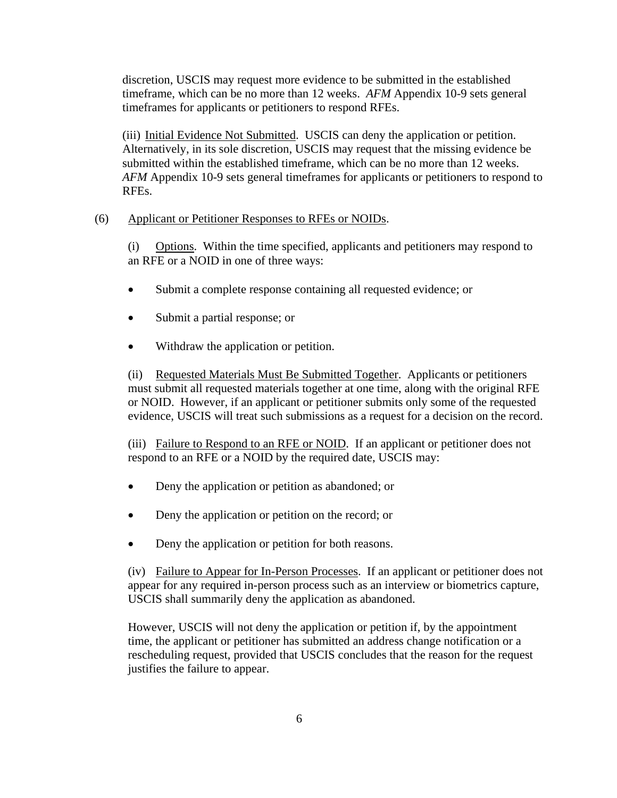discretion, USCIS may request more evidence to be submitted in the established timeframe, which can be no more than 12 weeks. *AFM* Appendix 10-9 sets general timeframes for applicants or petitioners to respond RFEs.

 (iii) Initial Evidence Not Submitted. USCIS can deny the application or petition. Alternatively, in its sole discretion, USCIS may request that the missing evidence be submitted within the established timeframe, which can be no more than 12 weeks. *AFM* Appendix 10-9 sets general timeframes for applicants or petitioners to respond to RFEs.

#### (6) Applicant or Petitioner Responses to RFEs or NOIDs.

(i) Options. Within the time specified, applicants and petitioners may respond to an RFE or a NOID in one of three ways:

- Submit a complete response containing all requested evidence; or
- Submit a partial response; or
- Withdraw the application or petition.

(ii) Requested Materials Must Be Submitted Together. Applicants or petitioners must submit all requested materials together at one time, along with the original RFE or NOID. However, if an applicant or petitioner submits only some of the requested evidence, USCIS will treat such submissions as a request for a decision on the record.

(iii) Failure to Respond to an RFE or NOID. If an applicant or petitioner does not respond to an RFE or a NOID by the required date, USCIS may:

- Deny the application or petition as abandoned; or
- Deny the application or petition on the record; or
- Deny the application or petition for both reasons.

(iv) Failure to Appear for In-Person Processes. If an applicant or petitioner does not appear for any required in-person process such as an interview or biometrics capture, USCIS shall summarily deny the application as abandoned.

However, USCIS will not deny the application or petition if, by the appointment time, the applicant or petitioner has submitted an address change notification or a rescheduling request, provided that USCIS concludes that the reason for the request justifies the failure to appear.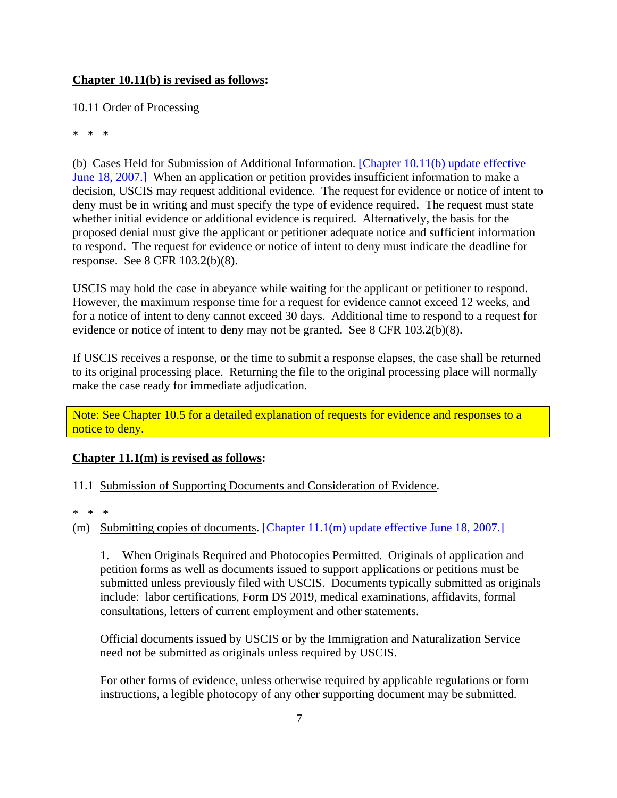#### **Chapter 10.11(b) is revised as follows:**

## 10.11 Order of Processing

\* \* \*

(b) Cases Held for Submission of Additional Information. [Chapter 10.11(b) update effective June 18, 2007.] When an application or petition provides insufficient information to make a decision, USCIS may request additional evidence. The request for evidence or notice of intent to deny must be in writing and must specify the type of evidence required. The request must state whether initial evidence or additional evidence is required. Alternatively, the basis for the proposed denial must give the applicant or petitioner adequate notice and sufficient information to respond. The request for evidence or notice of intent to deny must indicate the deadline for response. See 8 CFR 103.2(b)(8).

USCIS may hold the case in abeyance while waiting for the applicant or petitioner to respond. However, the maximum response time for a request for evidence cannot exceed 12 weeks, and for a notice of intent to deny cannot exceed 30 days. Additional time to respond to a request for evidence or notice of intent to deny may not be granted. See 8 CFR 103.2(b)(8).

If USCIS receives a response, or the time to submit a response elapses, the case shall be returned to its original processing place. Returning the file to the original processing place will normally make the case ready for immediate adjudication.

Note: See Chapter 10.5 for a detailed explanation of requests for evidence and responses to a notice to deny.

## **Chapter 11.1(m) is revised as follows:**

11.1 Submission of Supporting Documents and Consideration of Evidence.

\* \* \*

(m) Submitting copies of documents. [Chapter 11.1(m) update effective June 18, 2007.]

1. When Originals Required and Photocopies Permitted. Originals of application and petition forms as well as documents issued to support applications or petitions must be submitted unless previously filed with USCIS. Documents typically submitted as originals include: labor certifications, Form DS 2019, medical examinations, affidavits, formal consultations, letters of current employment and other statements.

Official documents issued by USCIS or by the Immigration and Naturalization Service need not be submitted as originals unless required by USCIS.

For other forms of evidence, unless otherwise required by applicable regulations or form instructions, a legible photocopy of any other supporting document may be submitted.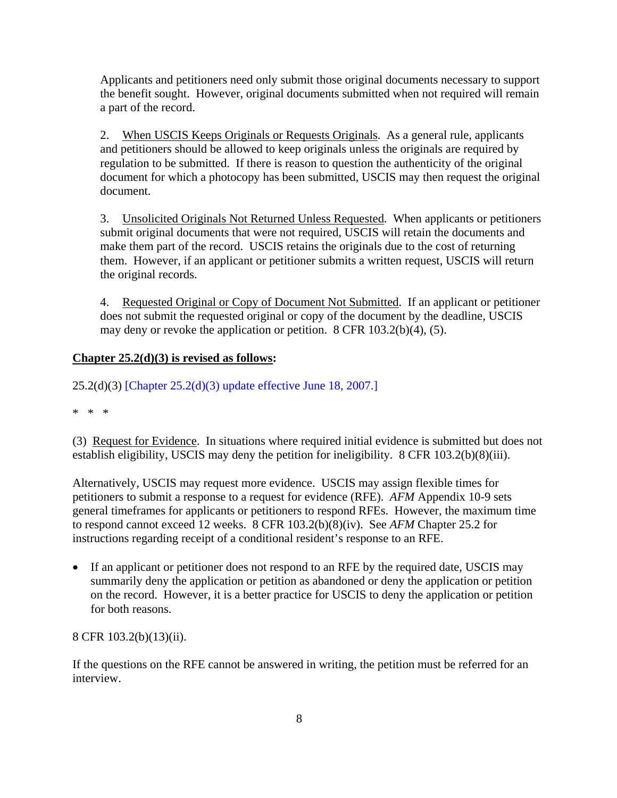Applicants and petitioners need only submit those original documents necessary to support the benefit sought. However, original documents submitted when not required will remain a part of the record.

2. When USCIS Keeps Originals or Requests Originals. As a general rule, applicants and petitioners should be allowed to keep originals unless the originals are required by regulation to be submitted. If there is reason to question the authenticity of the original document for which a photocopy has been submitted, USCIS may then request the original document.

3. Unsolicited Originals Not Returned Unless Requested. When applicants or petitioners submit original documents that were not required, USCIS will retain the documents and make them part of the record. USCIS retains the originals due to the cost of returning them. However, if an applicant or petitioner submits a written request, USCIS will return the original records.

4. Requested Original or Copy of Document Not Submitted. If an applicant or petitioner does not submit the requested original or copy of the document by the deadline, USCIS may deny or revoke the application or petition. 8 CFR 103.2(b)(4), (5).

#### **Chapter 25.2(d)(3) is revised as follows:**

25.2(d)(3) [Chapter 25.2(d)(3) update effective June 18, 2007.]

\* \* \*

(3) Request for Evidence. In situations where required initial evidence is submitted but does not establish eligibility, USCIS may deny the petition for ineligibility. 8 CFR 103.2(b)(8)(iii).

Alternatively, USCIS may request more evidence. USCIS may assign flexible times for petitioners to submit a response to a request for evidence (RFE). *AFM* Appendix 10-9 sets general timeframes for applicants or petitioners to respond RFEs. However, the maximum time to respond cannot exceed 12 weeks. 8 CFR 103.2(b)(8)(iv). See *AFM* Chapter 25.2 for instructions regarding receipt of a conditional resident's response to an RFE.

• If an applicant or petitioner does not respond to an RFE by the required date, USCIS may summarily deny the application or petition as abandoned or deny the application or petition on the record. However, it is a better practice for USCIS to deny the application or petition for both reasons.

8 CFR 103.2(b)(13)(ii).

If the questions on the RFE cannot be answered in writing, the petition must be referred for an interview.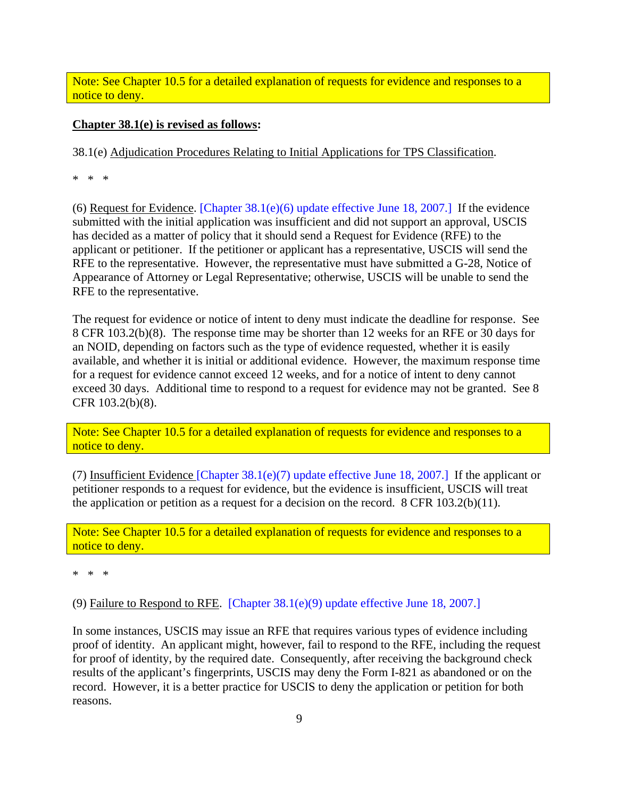Note: See Chapter 10.5 for a detailed explanation of requests for evidence and responses to a notice to deny.

#### **Chapter 38.1(e) is revised as follows:**

38.1(e) Adjudication Procedures Relating to Initial Applications for TPS Classification.

\* \* \*

(6) Request for Evidence. [Chapter  $38.1(e)(6)$  update effective June 18, 2007.] If the evidence submitted with the initial application was insufficient and did not support an approval, USCIS has decided as a matter of policy that it should send a Request for Evidence (RFE) to the applicant or petitioner. If the petitioner or applicant has a representative, USCIS will send the RFE to the representative. However, the representative must have submitted a G-28, Notice of Appearance of Attorney or Legal Representative; otherwise, USCIS will be unable to send the RFE to the representative.

The request for evidence or notice of intent to deny must indicate the deadline for response. See 8 CFR 103.2(b)(8). The response time may be shorter than 12 weeks for an RFE or 30 days for an NOID, depending on factors such as the type of evidence requested, whether it is easily available, and whether it is initial or additional evidence. However, the maximum response time for a request for evidence cannot exceed 12 weeks, and for a notice of intent to deny cannot exceed 30 days. Additional time to respond to a request for evidence may not be granted. See 8 CFR 103.2(b)(8).

Note: See Chapter 10.5 for a detailed explanation of requests for evidence and responses to a notice to deny.

(7) Insufficient Evidence [Chapter 38.1(e)(7) update effective June 18, 2007.] If the applicant or petitioner responds to a request for evidence, but the evidence is insufficient, USCIS will treat the application or petition as a request for a decision on the record. 8 CFR 103.2(b)(11).

Note: See Chapter 10.5 for a detailed explanation of requests for evidence and responses to a notice to deny.

\* \* \*

(9) Failure to Respond to RFE. [Chapter 38.1(e)(9) update effective June 18, 2007.]

In some instances, USCIS may issue an RFE that requires various types of evidence including proof of identity. An applicant might, however, fail to respond to the RFE, including the request for proof of identity, by the required date. Consequently, after receiving the background check results of the applicant's fingerprints, USCIS may deny the Form I-821 as abandoned or on the record. However, it is a better practice for USCIS to deny the application or petition for both reasons.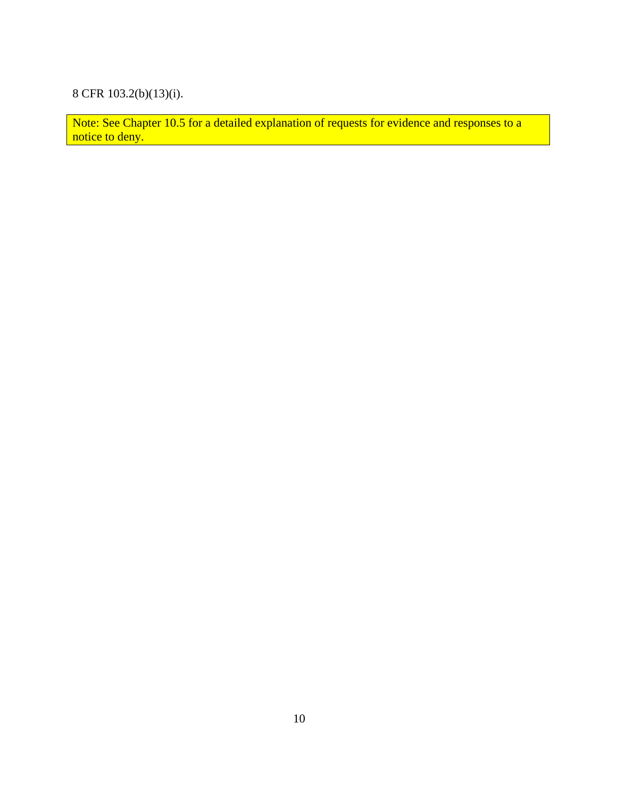# 8 CFR 103.2(b)(13)(i).

Note: See Chapter 10.5 for a detailed explanation of requests for evidence and responses to a notice to deny.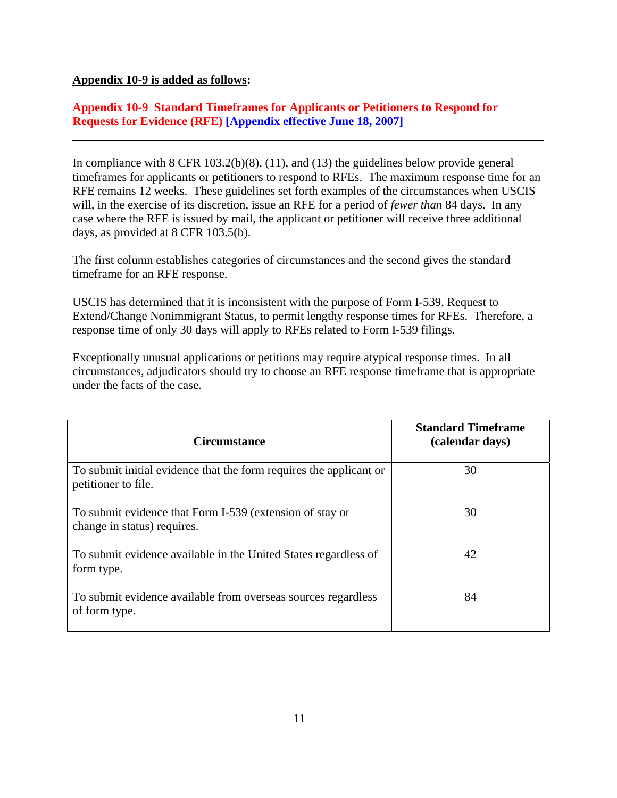#### **Appendix 10-9 is added as follows:**

**Appendix 10-9 Standard Timeframes for Applicants or Petitioners to Respond for Requests for Evidence (RFE) [Appendix effective June 18, 2007]** 

In compliance with 8 CFR 103.2(b)(8), (11), and (13) the guidelines below provide general timeframes for applicants or petitioners to respond to RFEs. The maximum response time for an RFE remains 12 weeks. These guidelines set forth examples of the circumstances when USCIS will, in the exercise of its discretion, issue an RFE for a period of *fewer than* 84 days. In any case where the RFE is issued by mail, the applicant or petitioner will receive three additional days, as provided at 8 CFR 103.5(b).

The first column establishes categories of circumstances and the second gives the standard timeframe for an RFE response.

USCIS has determined that it is inconsistent with the purpose of Form I-539, Request to Extend/Change Nonimmigrant Status, to permit lengthy response times for RFEs. Therefore, a response time of only 30 days will apply to RFEs related to Form I-539 filings.

Exceptionally unusual applications or petitions may require atypical response times. In all circumstances, adjudicators should try to choose an RFE response timeframe that is appropriate under the facts of the case.

| <b>Circumstance</b>                                                                       | <b>Standard Timeframe</b><br>(calendar days) |
|-------------------------------------------------------------------------------------------|----------------------------------------------|
|                                                                                           |                                              |
| To submit initial evidence that the form requires the applicant or<br>petitioner to file. | 30                                           |
| To submit evidence that Form I-539 (extension of stay or<br>change in status) requires.   | 30                                           |
| To submit evidence available in the United States regardless of<br>form type.             | 42                                           |
| To submit evidence available from overseas sources regardless<br>of form type.            | 84                                           |